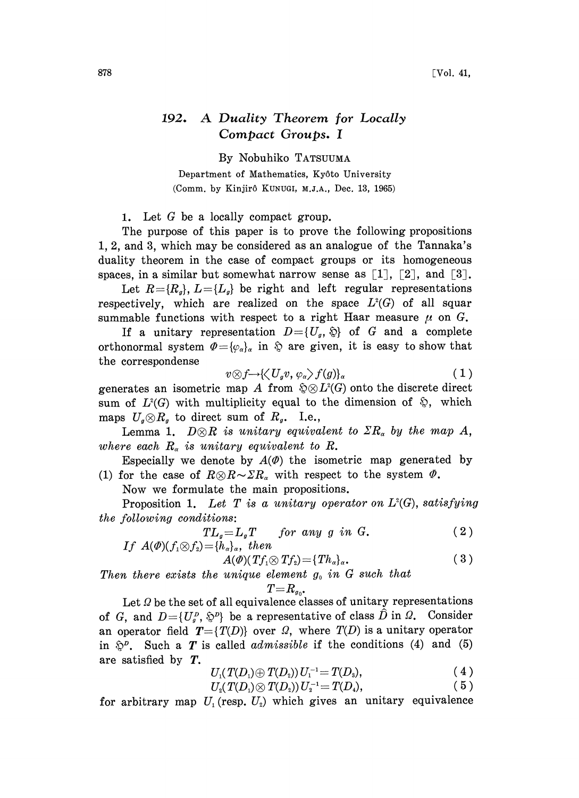## 192. A Duality Theorem for Locally Compact Groups. <sup>I</sup>

By Nobuhiko TATSUUMA

Department of Mathematics, Ky6to University (Comm. by Kinjirô KUNUGI, M.J.A., Dec. 13, 1965)

1. Let  $G$  be a locally compact group.

The purpose of this paper is to prove the following propositions 1, 2, and 3, which may be considered as an analogue of the Tannaka's duality theorem in the case of compact groups or its homogeneous spaces, in a similar but somewhat narrow sense as  $[1]$ ,  $[2]$ , and  $[3]$ .

Let  $R=\{R_q\}, L=\{L_q\}$  be right and left regular representations respectively, which are realized on the space  $L^2(G)$  of all squar summable functions with respect to a right Haar measure  $\mu$  on G.

If a unitary representation  $D = \{U_q, \hat{\psi}\}\$  of G and a complete orthonormal system  $\Phi = {\varphi_{\alpha}}_{\alpha}$  in  $\hat{\varphi}$  are given, it is easy to show that the correspondense

$$
v \otimes f \rightarrow \langle \langle U_g v, \varphi_\alpha \rangle f(g) \rangle_\alpha \tag{1}
$$

generates an isometric map A from  $\mathfrak{D} \otimes L^2(G)$  onto the discrete direct sum of  $L^2(G)$  with multiplicity equal to the dimension of  $\hat{\mathcal{L}}$ , which maps  $U_q \otimes R_q$  to direct sum of  $R_q$ . I.e.,

Lemma 1.  $D\otimes R$  is unitary equivalent to  $\sum R_{\alpha}$  by the map A, where each  $R_{\alpha}$  is unitary equivalent to R.

Especially we denote by  $A(\phi)$  the isometric map generated by (1) for the case of  $R\otimes R\sim\sum R_{\alpha}$  with respect to the system  $\varPhi$ .

Now we formulate the main propositions.

Proposition 1. Let T is a unitary operator on  $L^2(G)$ , satisfying the following conditions:

$$
TL_g = L_gT \quad \text{for any } g \text{ in } G. \tag{2}
$$
  
If  $A(\phi)(f_1 \otimes f_2) = \{h_\alpha\}_\alpha$ , then

$$
A(\varPhi)(Tf_1\otimes Tf_2)=\{Th_{\alpha}\}_{\alpha}.
$$
 (3)

Then there exists the unique element  $g_0$  in G such that

$$
T{=}R_{g_0}.
$$

Let  $\Omega$  be the set of all equivalence classes of unitary representations of G, and  $D=\{U_g^p, \hat{\psi}^p\}$  be a representative of class  $\hat{D}$  in  $\Omega$ . Consider an operator field  $T=\{T(D)\}\$  over  $\Omega$ , where  $T(D)$  is a unitary operator in  $\mathfrak{D}^p$ . Such a T is called *admissible* if the conditions (4) and (5) are satisfied by T.

$$
U_1(T(D_1) \oplus T(D_2)) U_1^{-1} = T(D_3), \qquad (4)
$$

$$
U_1(T(D_1) \oplus T(D_2)) U_1^{-1} = T(D_3),
$$
  
\n
$$
U_2(T(D_1) \otimes T(D_2)) U_2^{-1} = T(D_4),
$$
\n(4)

for arbitrary map  $U_1$  (resp.  $U_2$ ) which gives an unitary equivalence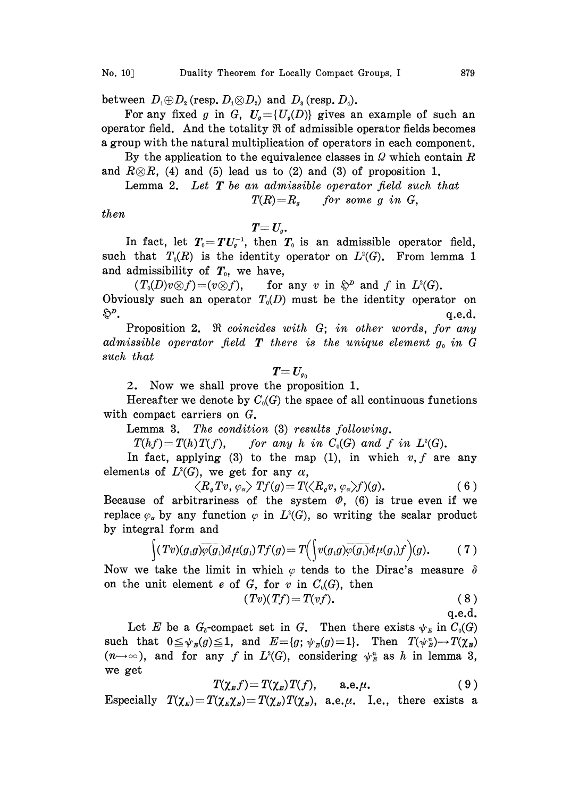between  $D_1 \oplus D_2$  (resp.  $D_1 \otimes D_2$ ) and  $D_3$  (resp.  $D_4$ ).

For any fixed g in G,  $U_q = {U_q(D)}$  gives an example of such an operator field. And the totality  $\Re$  of admissible operator fields becomes a group with the natural multiplication of operators in each component.

By the application to the equivalence classes in  $\Omega$  which contain  $R$ and  $R\otimes R$ , (4) and (5) lead us to (2) and (3) of proposition 1.

Lemma 2. Let  $T$  be an admissible operator field such that  $T(R)=R<sub>a</sub>$  for some g in G,

then

 $T=U_q$ .

In fact, let  $T_0 = TU_s^{-1}$ , then  $T_0$  is an admissible operator field, such that  $T_0(R)$  is the identity operator on  $L^2(G)$ . From lemma 1 and admissibility of  $T_0$ , we have,

 $(T_0(D)v\otimes f)=(v\otimes f),$  for any v in  $\mathfrak{S}^p$  and f in  $L^2(G)$ . Obviously such an operator  $T_0(D)$  must be the identity operator on  $\mathfrak{D}^{\nu}$ . g.e.d.

Proposition 2.  $\Re$  coincides with G; in other words, for any admissible operator field  $T$  there is the unique element  $g_0$  in G such that

$$
\textit{\textbf{T}}=\textit{\textbf{U}}_{\scriptscriptstyle g_0}
$$

2. Now we shall prove the proposition 1.

Hereafter we denote by  $C_0(G)$  the space of all continuous functions with compact carriers on G.

Lemma 3. The condition (3) results following.

 $T(hf)=T(h)T(f)$ , for any h in  $C_0(G)$  and f in  $L^2(G)$ .

In fact, applying (3) to the map (1), in which  $v, f$  are any elements of  $L^2(G)$ , we get for any  $\alpha$ ,<br>  $\langle R_g Tv, \varphi_\alpha \rangle Tf(g) = T(\langle R_g v, \varphi_\alpha \rangle f)(g)$ . (6)

$$
\left\langle R_{g}Tv,\varphi_{\alpha}\right\rangle Tf(g)=T(\left\langle R_{g}v,\varphi_{\alpha}\right\rangle f)(g). \tag{6}
$$

Because of arbitrariness of the system  $\Phi$ , (6) is true even if we replace  $\varphi_{\alpha}$  by any function  $\varphi$  in  $L^{2}(G)$ , so writing the scalar product by integral form and

$$
\int (Tv)(g_1g)\overline{\varphi(g_1)}d\mu(g_1)Tf(g)=T\Big(\Big(v(g_1g)\overline{\varphi(g_1)}d\mu(g_1)f\Big)(g).
$$
 (7)

Now we take the limit in which  $\varphi$  tends to the Dirac's measure  $\delta$ on the unit element e of G, for v in  $C_0(G)$ , then

$$
(Tv)(Tf) = T(vf). \t\t(8)
$$

$$
\boldsymbol{\mathrm{q.e.d.}}
$$

Let E be a  $G_{\delta}$ -compact set in G. Then there exists  $\psi_E$  in  $C_0(G)$ such that  $0 \leq \psi_E(g) \leq 1$ , and  $E = \{g; \psi_E(g)=1\}$ . Then  $T(\psi_E^*) \to T(\chi_E)$  $(n \rightarrow \infty)$ , and for any f in  $L^2(G)$ , considering  $\psi_{\mathbb{F}}^n$  as h in lemma 3, we get

$$
T(\chi_{E}f)=T(\chi_{E})T(f), \qquad \text{a.e. }\mu. \qquad (9)
$$

Especially  $T(\chi_{\scriptscriptstyle B})=T(\chi_{\scriptscriptstyle B}\chi_{\scriptscriptstyle B})=T(\chi_{\scriptscriptstyle B})T(\chi_{\scriptscriptstyle B}),$  a.e. $\mu$ . I.e., there exists a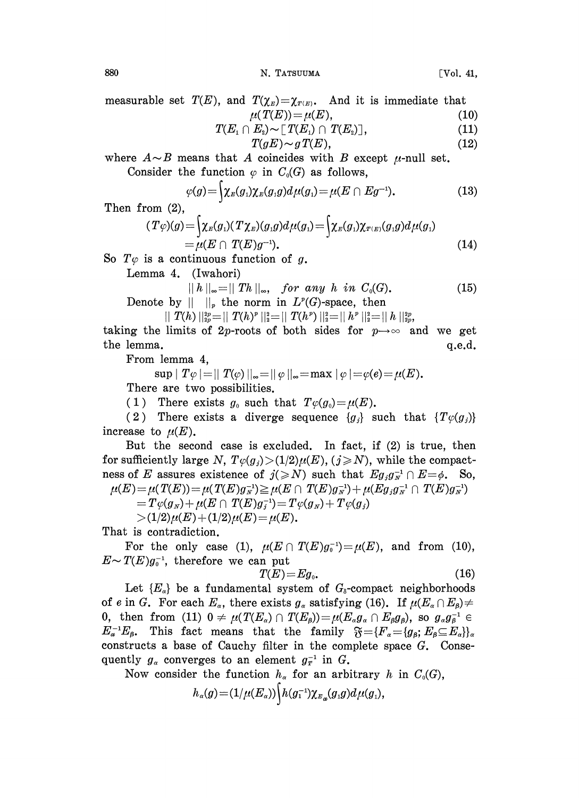880 N. TATSUUMA [Vol. 41,

measurable set  $T(E)$ , and  $T(\chi_E) = \chi_{T(E)}$ . And it is immediate that

$$
\mu(T(E)) = \mu(E),\tag{10}
$$
\n
$$
(E, \cap E) \sim \Gamma(T(E) \cap T(E))\tag{11}
$$

$$
T(E_1 \cap E_2) \sim [T(E_1) \cap T(E_2)], \qquad (11)\\ T(gE) \sim gT(E), \qquad (12)
$$

where  $A \sim B$  means that A coincides with B except  $\mu$ -null set. Consider the function  $\varphi$  in  $C_0(G)$  as follows,

$$
\varphi(g) = \int \chi_E(g_1) \chi_E(g_1 g) d\mu(g_1) = \mu(E \cap Eg^{-1}). \tag{13}
$$

Then from (2),

$$
T\varphi)(g) = \int \chi_{E}(g_{1})(T\chi_{E})(g_{1}g)d\mu(g_{1}) = \int \chi_{E}(g_{1})\chi_{T(E)}(g_{1}g)d\mu(g_{1})
$$
  
=  $\mu(E \cap T(E)g^{-1}).$  (14)

So  $T\varphi$  is a continuous function of g.

Lemma 4. (Iwahori)

$$
||h||_{\infty} = ||Th||_{\infty}, \quad \text{for any } h \text{ in } C_0(G). \tag{15}
$$
\n
$$
||h||_{\infty} = ||Th||_{\infty} \text{ from in } L^p(G)\text{-space, then}
$$

Denote by  $|| \t||_p$  the norm in  $L^p(G)$ -space, then

$$
||\,\,T(h)\,||^{2p}_{2p} = ||\,\,T(h)^p\,||^2_2 = ||\,\,T(h^p)\,||^2_2 = ||\,h^p\,||^2_2 = ||\,h\,||^{2p}_{2p},
$$

taking the limits of 2p-roots of both sides for  $p \rightarrow \infty$  and we get the lemma,  $q.e.d.$ 

From lemma 4,

$$
\sup |T\varphi| = ||T(\varphi)||_{\infty} = ||\varphi||_{\infty} = \max |\varphi| = \varphi(e) = \mu(E).
$$
  
There are two possibilities.

(1) There exists  $g_0$  such that  $T\varphi(g_0)=\mu(E)$ .

(2) There exists a diverge sequence  ${g_i}$  such that  ${T\varphi(g_i)}$ increase to  $\mu(E)$ .

But the second case is excluded. In fact, if (2) is true, then for sufficiently large N,  $T\varphi(g_i) > (1/2)\mu(E)$ ,  $(j \ge N)$ , while the compactness of E assures existence of  $j(\geq N)$  such that  $E g_j g_N^{-1} \cap E = \phi$ . So,  $\mu(E) = \mu(T(E)) = \mu(T(E)g_{N}^{-1}) \geq \mu(E \cap T(E)g_{N}^{-1}) + \mu(Eg_{j}g_{N}^{-1} \cap T(E)g_{N}^{-1})$ 

$$
=T\varphi(g_{\scriptscriptstyle N})\!+\!\mu(E\cap\,T(E)g_{\scriptscriptstyle j}^{\scriptscriptstyle -1})\!=\!T\varphi(g_{\scriptscriptstyle N})\!+T\varphi(g_{\scriptscriptstyle j})
$$

 $>(1/2)\mu(E) + (1/2)\mu(E) = \mu(E).$ 

That is contradiction.

For the only case (1),  $\mu(E \cap T(E)g_0^{-1})=\mu(E)$ , and from (10),  $E \sim T(E)g_0^{-1}$ , therefore we can put

$$
T(E)=Eg_0.
$$
 (16)

Let  ${E_{\alpha}}$  be a fundamental system of  $G_{\delta}$ -compact neighborhoods of e in G. For each  $E_{\alpha}$ , there exists  $g_{\alpha}$  satisfying (16). If  $\mu(E_{\alpha} \cap E_{\beta}) \neq$ 0, then from (11)  $0 \neq \mu(T(E_{\alpha}) \cap T(E_{\beta}))=\mu(E_{\alpha}g_{\alpha} \cap E_{\beta}g_{\beta})$ , so  $g_{\alpha}g_{\beta}^{-1} \in$  $E_{\alpha}^{-1}E_{\beta}$ . This fact means that the family  $\mathfrak{F} = \{F_{\alpha} = \{g_{\beta}; E_{\beta} \subseteq E_{\alpha}\}\}\$  $\mathfrak{F} = \{F_\alpha = \{g_\beta; E_\beta \subseteq E_\alpha\}\}\$ <br>plete space *G*. Consetrary *h* in  $C_0(G)$ , constructs a base of Cauchy filter in the complete space  $G$ . Consequently  $g_{\alpha}$  converges to an element  $g_{\tau}^{-1}$  in G.

Now consider the function  $h_{\alpha}$  for an arbitrary h in  $C_0(G)$ ,

$$
h_{\alpha}(g)\!=\!(1/\mu(E_{\alpha}))\Big\{h(g_1^{-1})\chi_{_{E_{\alpha}}}(g_1g)d\mu(g_1),
$$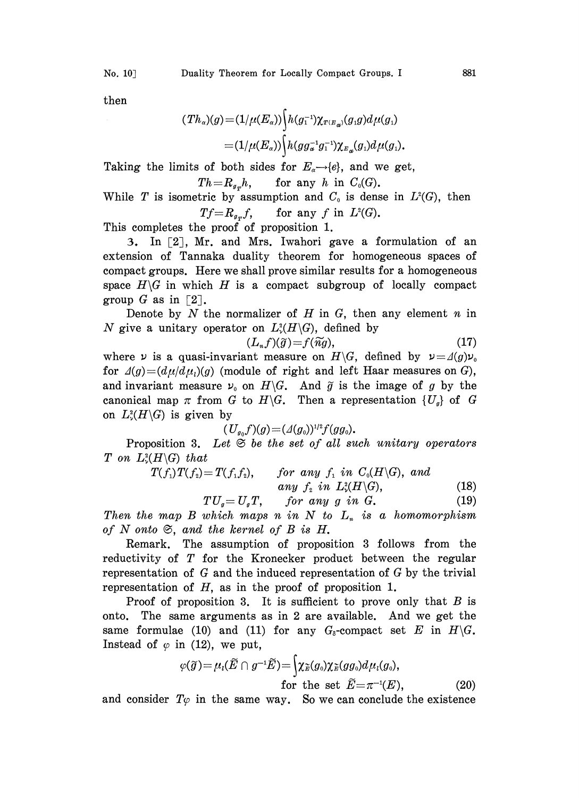then

$$
(Th_{\alpha})(g) = (1/\mu(E_{\alpha})) \Big\{ h(g_1^{-1}) \chi_{T(E_{\alpha})}(g_1g) d\mu(g_1)
$$
  

$$
= (1/\mu(E_{\alpha})) \Big\{ h(gg_{\alpha}^{-1}g_1^{-1}) \chi_{E_{\alpha}}(g_1) d\mu(g_1).
$$

Taking the limits of both sides for  $E_{\alpha} \rightarrow e e$ , and we get,

$$
Th = R_{g_T}h, \qquad \text{for any } h \text{ in } C_0(G).
$$

While T is isometric by assumption and  $C_0$  is dense in  $L^2(G)$ , then  $Tf=R_{g,T}f$ , for any f in  $L^2(G)$ .

This completes the proof of proposition 1.

3. In [2], Mr. and Mrs. Iwahori gave a formulation of an extension of Tannaka duality theorem for homogeneous spaces of compact groups. Here we shall prove similar results for a homogeneous space  $H\backslash G$  in which H is a compact subgroup of locally compact group G as in  $\lceil 2 \rceil$ .

Denote by  $N$  the normalizer of  $H$  in  $G$ , then any element  $n$  in N give a unitary operator on  $L^2(H\backslash G)$ , defined by

$$
(L_n f)(\widetilde{g}) = f(\widetilde{n}g),\tag{17}
$$

where  $\nu$  is a quasi-invariant measure on  $H\backslash G$ , defined by  $\nu = \Lambda(g)\nu_0$ for  $\Delta(g) = (d\mu/d\mu_i)(g)$  (module of right and left Haar measures on G), and invariant measure  $\nu_0$  on  $H\backslash G$ . And  $\tilde{g}$  is the image of g by the canonical map  $\pi$  from G to H $\backslash$ G. Then a representation  $\{U_g\}$  of G on  $L^2(H\backslash G)$  is given by

$$
(U_{g_0}f)(g) = (\varDelta(g_0))^{1/2} f(gg_0).
$$

Proposition 3. Let  $\mathfrak{S}$  be the set of all such unitary operators T on  $L^2(H\backslash G)$  that

$$
T(f_1)T(f_2)=T(f_1f_2), \qquad \text{for any } f_1 \text{ in } C_0(H\backslash G), \text{ and} \qquad \text{any } f_2 \text{ in } L^2(\mathbb{H}\backslash G), \qquad (18)
$$

$$
TU_g = U_gT, \qquad \text{for any } g \text{ in } G. \tag{19}
$$

Then the map  $B$  which maps n in  $N$  to  $L_n$  is a homomorphism of N onto  $\mathfrak{S}$ , and the kernel of B is H.

Remark. The assumption of proposition 3 follows from the reductivity of T for the Kronecker product between the regular representation of  $G$  and the induced representation of  $G$  by the trivial representation of  $H$ , as in the proof of proposition 1.

Proof of proposition 3. It is sufficient to prove only that  $B$  is onto. The same arguments as in 2 are available. And we get the same formulae (10) and (11) for any  $G_8$ -compact set E in  $H\backslash G$ . Instead of  $\varphi$  in (12), we put,

$$
\varphi(\widetilde{g}) = \mu_{l}(\widetilde{E} \cap g^{-1}\widetilde{E}) = \begin{cases} \chi_{\widetilde{E}}(g_{0})\chi_{\widetilde{E}}(gg_{0})d\mu_{l}(g_{0}), \\ \text{for the set } \widetilde{E} = \pi^{-1}(E), \end{cases}
$$
 (20)

and consider  $T\varphi$  in the same way. So we can conclude the existence